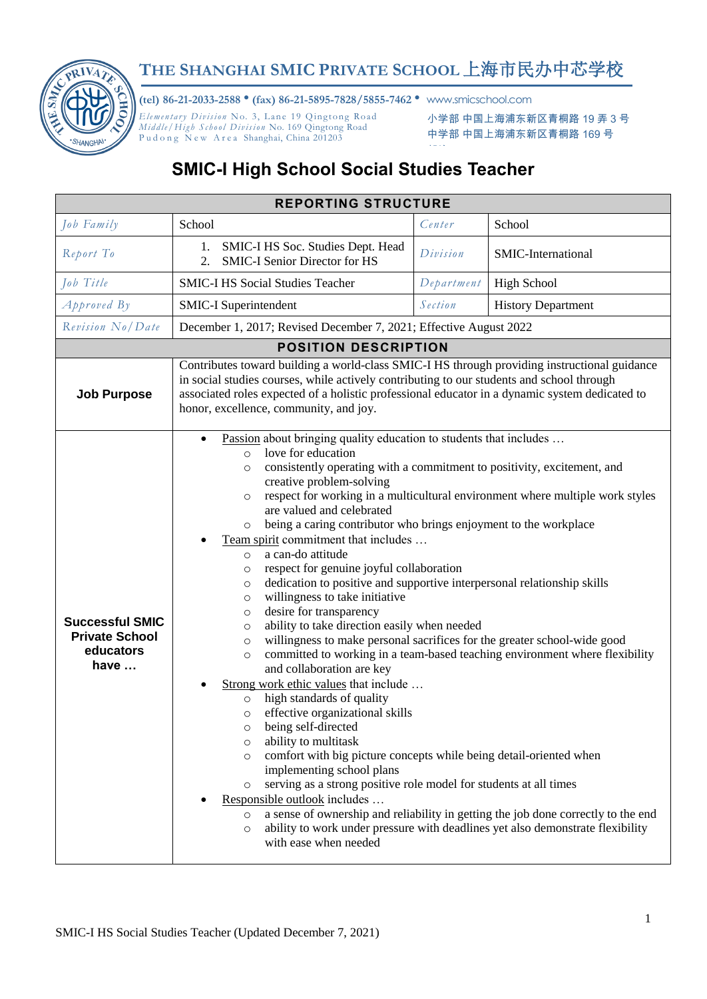

## **THE SHANGHAI SMIC PRIVATE SCHOOL** 上海市民办中芯学校

**(tel) 86-21-2033-2588** • **(fax) 86-21-5895-7828/5855-7462** • www.smicschool.com

*Elementary Division* No. 3, Lane 19 Qingtong Road *Mid dle / High S chool Di vis ion* No. 169 Qingtong Road Pudong New Area Shanghai, China 201203

小学部 中国上海浦东新区青桐路 19 弄 3 号 中学部 中国上海浦东新区青桐路 169 号

## **SMIC-I High School Social Studies Teacher**

## **REPORTING STRUCTURE** *Job Family* **School School** *Center* **School** *Report To* 1. **SMIC-I HS Soc. Studies Dept. Head**<br>2. **SMIC-I Senior Director for HS** 2. SMIC-I Senior Director for HS *Division* SMIC-International *Job Title* SMIC-I HS Social Studies Teacher *Department* High School *Approved By* SMIC-I Superintendent *Section* History Department *Revision No/Date* December 1, 2017; Revised December 7, 2021; Effective August 2022 **POSITION DESCRIPTION Job Purpose** Contributes toward building a world-class SMIC-I HS through providing instructional guidance in social studies courses, while actively contributing to our students and school through associated roles expected of a holistic professional educator in a dynamic system dedicated to honor, excellence, community, and joy. **Successful SMIC Private School educators have …** Passion about bringing quality education to students that includes … o love for education o consistently operating with a commitment to positivity, excitement, and creative problem-solving o respect for working in a multicultural environment where multiple work styles are valued and celebrated o being a caring contributor who brings enjoyment to the workplace Team spirit commitment that includes … o a can-do attitude o respect for genuine joyful collaboration o dedication to positive and supportive interpersonal relationship skills o willingness to take initiative o desire for transparency o ability to take direction easily when needed o willingness to make personal sacrifices for the greater school-wide good o committed to working in a team-based teaching environment where flexibility and collaboration are key Strong work ethic values that include … o high standards of quality o effective organizational skills o being self-directed o ability to multitask o comfort with big picture concepts while being detail-oriented when implementing school plans o serving as a strong positive role model for students at all times Responsible outlook includes … o a sense of ownership and reliability in getting the job done correctly to the end o ability to work under pressure with deadlines yet also demonstrate flexibility with ease when needed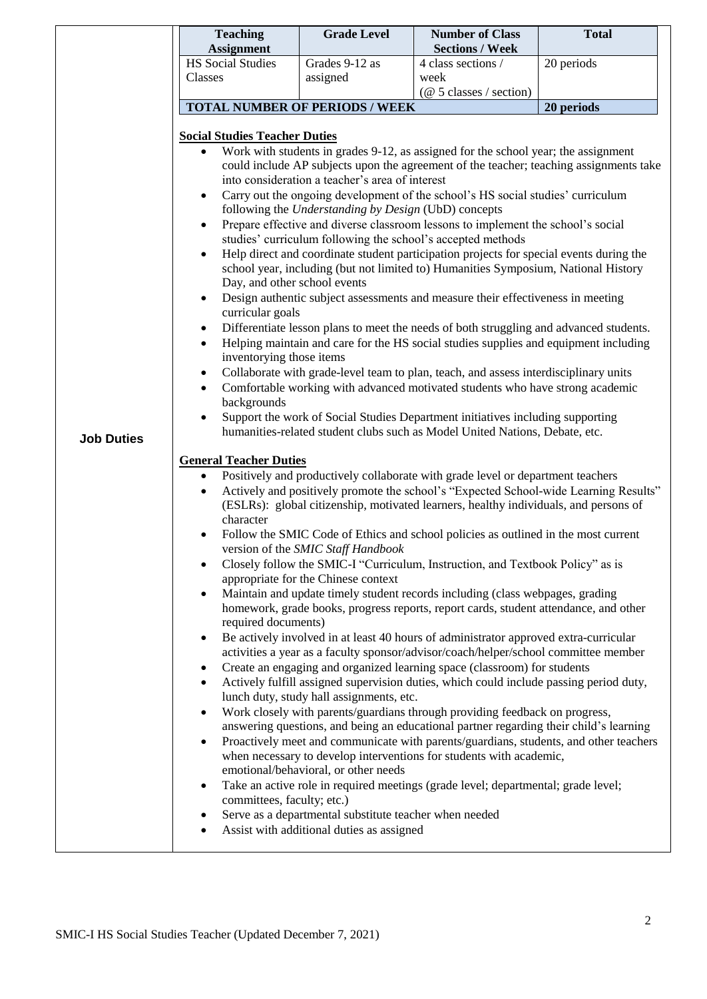|                   | <b>Teaching</b><br><b>Assignment</b>                                                                                                                                                                                                                                                                                                  | <b>Grade Level</b>                        | <b>Number of Class</b><br><b>Sections / Week</b>                                    | <b>Total</b> |  |  |  |
|-------------------|---------------------------------------------------------------------------------------------------------------------------------------------------------------------------------------------------------------------------------------------------------------------------------------------------------------------------------------|-------------------------------------------|-------------------------------------------------------------------------------------|--------------|--|--|--|
|                   | <b>HS</b> Social Studies                                                                                                                                                                                                                                                                                                              | Grades 9-12 as                            | 4 class sections /                                                                  | 20 periods   |  |  |  |
|                   | Classes                                                                                                                                                                                                                                                                                                                               | assigned                                  | week                                                                                |              |  |  |  |
|                   |                                                                                                                                                                                                                                                                                                                                       |                                           | $(\text{\textcircled{a}} 5 \text{ classes} / \text{section})$                       |              |  |  |  |
|                   | <b>TOTAL NUMBER OF PERIODS / WEEK</b><br>20 periods                                                                                                                                                                                                                                                                                   |                                           |                                                                                     |              |  |  |  |
|                   | <b>Social Studies Teacher Duties</b>                                                                                                                                                                                                                                                                                                  |                                           |                                                                                     |              |  |  |  |
|                   | Work with students in grades 9-12, as assigned for the school year; the assignment<br>$\bullet$<br>could include AP subjects upon the agreement of the teacher; teaching assignments take                                                                                                                                             |                                           |                                                                                     |              |  |  |  |
|                   | into consideration a teacher's area of interest                                                                                                                                                                                                                                                                                       |                                           |                                                                                     |              |  |  |  |
|                   | Carry out the ongoing development of the school's HS social studies' curriculum<br>$\bullet$                                                                                                                                                                                                                                          |                                           |                                                                                     |              |  |  |  |
|                   | following the Understanding by Design (UbD) concepts                                                                                                                                                                                                                                                                                  |                                           |                                                                                     |              |  |  |  |
|                   | Prepare effective and diverse classroom lessons to implement the school's social<br>$\bullet$<br>studies' curriculum following the school's accepted methods                                                                                                                                                                          |                                           |                                                                                     |              |  |  |  |
|                   | Help direct and coordinate student participation projects for special events during the<br>$\bullet$                                                                                                                                                                                                                                  |                                           |                                                                                     |              |  |  |  |
|                   | school year, including (but not limited to) Humanities Symposium, National History                                                                                                                                                                                                                                                    |                                           |                                                                                     |              |  |  |  |
|                   | Day, and other school events<br>Design authentic subject assessments and measure their effectiveness in meeting                                                                                                                                                                                                                       |                                           |                                                                                     |              |  |  |  |
|                   | curricular goals                                                                                                                                                                                                                                                                                                                      |                                           |                                                                                     |              |  |  |  |
|                   | Differentiate lesson plans to meet the needs of both struggling and advanced students.<br>$\bullet$                                                                                                                                                                                                                                   |                                           |                                                                                     |              |  |  |  |
|                   | Helping maintain and care for the HS social studies supplies and equipment including<br>$\bullet$<br>inventorying those items                                                                                                                                                                                                         |                                           |                                                                                     |              |  |  |  |
|                   | Collaborate with grade-level team to plan, teach, and assess interdisciplinary units<br>$\bullet$                                                                                                                                                                                                                                     |                                           |                                                                                     |              |  |  |  |
|                   | Comfortable working with advanced motivated students who have strong academic<br>$\bullet$                                                                                                                                                                                                                                            |                                           |                                                                                     |              |  |  |  |
|                   | backgrounds                                                                                                                                                                                                                                                                                                                           |                                           |                                                                                     |              |  |  |  |
| <b>Job Duties</b> | Support the work of Social Studies Department initiatives including supporting<br>humanities-related student clubs such as Model United Nations, Debate, etc.                                                                                                                                                                         |                                           |                                                                                     |              |  |  |  |
|                   |                                                                                                                                                                                                                                                                                                                                       |                                           |                                                                                     |              |  |  |  |
|                   | <b>General Teacher Duties</b><br>Positively and productively collaborate with grade level or department teachers<br>$\bullet$                                                                                                                                                                                                         |                                           |                                                                                     |              |  |  |  |
|                   | Actively and positively promote the school's "Expected School-wide Learning Results"                                                                                                                                                                                                                                                  |                                           |                                                                                     |              |  |  |  |
|                   | (ESLRs): global citizenship, motivated learners, healthy individuals, and persons of                                                                                                                                                                                                                                                  |                                           |                                                                                     |              |  |  |  |
|                   | character<br>Follow the SMIC Code of Ethics and school policies as outlined in the most current                                                                                                                                                                                                                                       |                                           |                                                                                     |              |  |  |  |
|                   | version of the SMIC Staff Handbook<br>Closely follow the SMIC-I "Curriculum, Instruction, and Textbook Policy" as is<br>appropriate for the Chinese context                                                                                                                                                                           |                                           |                                                                                     |              |  |  |  |
|                   |                                                                                                                                                                                                                                                                                                                                       |                                           |                                                                                     |              |  |  |  |
|                   |                                                                                                                                                                                                                                                                                                                                       |                                           |                                                                                     |              |  |  |  |
|                   | Maintain and update timely student records including (class webpages, grading<br>homework, grade books, progress reports, report cards, student attendance, and other                                                                                                                                                                 |                                           |                                                                                     |              |  |  |  |
|                   | required documents)<br>Be actively involved in at least 40 hours of administrator approved extra-curricular                                                                                                                                                                                                                           |                                           |                                                                                     |              |  |  |  |
|                   | $\bullet$                                                                                                                                                                                                                                                                                                                             |                                           | activities a year as a faculty sponsor/advisor/coach/helper/school committee member |              |  |  |  |
|                   | $\bullet$                                                                                                                                                                                                                                                                                                                             |                                           | Create an engaging and organized learning space (classroom) for students            |              |  |  |  |
|                   | Actively fulfill assigned supervision duties, which could include passing period duty,<br>$\bullet$<br>lunch duty, study hall assignments, etc.<br>Work closely with parents/guardians through providing feedback on progress,<br>$\bullet$<br>answering questions, and being an educational partner regarding their child's learning |                                           |                                                                                     |              |  |  |  |
|                   |                                                                                                                                                                                                                                                                                                                                       |                                           |                                                                                     |              |  |  |  |
|                   |                                                                                                                                                                                                                                                                                                                                       |                                           |                                                                                     |              |  |  |  |
|                   | Proactively meet and communicate with parents/guardians, students, and other teachers<br>$\bullet$                                                                                                                                                                                                                                    |                                           |                                                                                     |              |  |  |  |
|                   | when necessary to develop interventions for students with academic,                                                                                                                                                                                                                                                                   |                                           |                                                                                     |              |  |  |  |
|                   | emotional/behavioral, or other needs<br>Take an active role in required meetings (grade level; departmental; grade level;<br>٠                                                                                                                                                                                                        |                                           |                                                                                     |              |  |  |  |
|                   | committees, faculty; etc.)<br>Serve as a departmental substitute teacher when needed<br>٠                                                                                                                                                                                                                                             |                                           |                                                                                     |              |  |  |  |
|                   |                                                                                                                                                                                                                                                                                                                                       |                                           |                                                                                     |              |  |  |  |
|                   |                                                                                                                                                                                                                                                                                                                                       | Assist with additional duties as assigned |                                                                                     |              |  |  |  |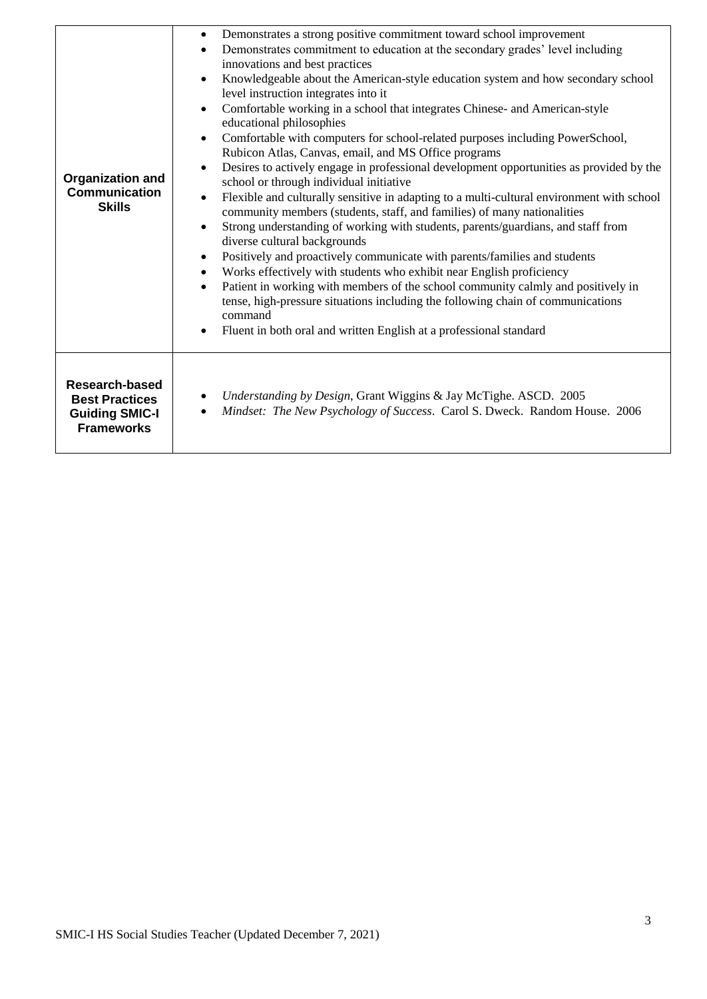| <b>Organization and</b><br><b>Communication</b><br><b>Skills</b>                      | Demonstrates a strong positive commitment toward school improvement<br>$\bullet$<br>Demonstrates commitment to education at the secondary grades' level including<br>$\bullet$<br>innovations and best practices<br>Knowledgeable about the American-style education system and how secondary school<br>$\bullet$<br>level instruction integrates into it<br>Comfortable working in a school that integrates Chinese- and American-style<br>$\bullet$<br>educational philosophies<br>Comfortable with computers for school-related purposes including PowerSchool,<br>$\bullet$<br>Rubicon Atlas, Canvas, email, and MS Office programs<br>Desires to actively engage in professional development opportunities as provided by the<br>school or through individual initiative<br>Flexible and culturally sensitive in adapting to a multi-cultural environment with school<br>community members (students, staff, and families) of many nationalities<br>Strong understanding of working with students, parents/guardians, and staff from<br>$\bullet$<br>diverse cultural backgrounds<br>Positively and proactively communicate with parents/families and students<br>Works effectively with students who exhibit near English proficiency<br>$\bullet$<br>Patient in working with members of the school community calmly and positively in<br>tense, high-pressure situations including the following chain of communications<br>command<br>Fluent in both oral and written English at a professional standard |
|---------------------------------------------------------------------------------------|------------------------------------------------------------------------------------------------------------------------------------------------------------------------------------------------------------------------------------------------------------------------------------------------------------------------------------------------------------------------------------------------------------------------------------------------------------------------------------------------------------------------------------------------------------------------------------------------------------------------------------------------------------------------------------------------------------------------------------------------------------------------------------------------------------------------------------------------------------------------------------------------------------------------------------------------------------------------------------------------------------------------------------------------------------------------------------------------------------------------------------------------------------------------------------------------------------------------------------------------------------------------------------------------------------------------------------------------------------------------------------------------------------------------------------------------------------------------------------------------------------------|
| Research-based<br><b>Best Practices</b><br><b>Guiding SMIC-I</b><br><b>Frameworks</b> | Understanding by Design, Grant Wiggins & Jay McTighe. ASCD. 2005<br>Mindset: The New Psychology of Success. Carol S. Dweck. Random House. 2006<br>٠                                                                                                                                                                                                                                                                                                                                                                                                                                                                                                                                                                                                                                                                                                                                                                                                                                                                                                                                                                                                                                                                                                                                                                                                                                                                                                                                                              |